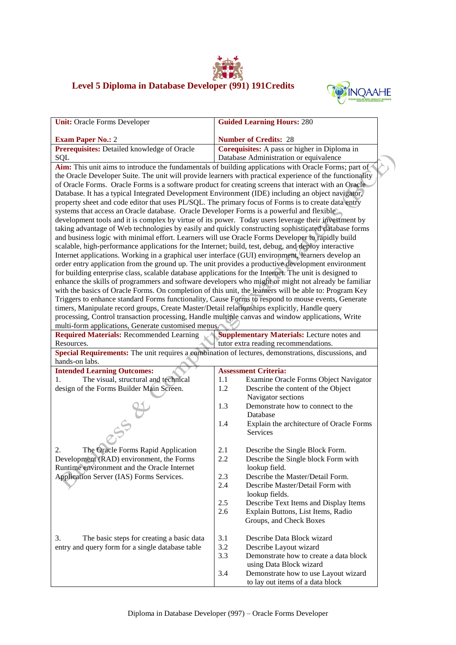## **Level 5 Diploma in Database Developer (991) 191Credits**



| <b>Unit: Oracle Forms Developer</b>                                                                     | <b>Guided Learning Hours: 280</b>                                                                         |  |  |
|---------------------------------------------------------------------------------------------------------|-----------------------------------------------------------------------------------------------------------|--|--|
|                                                                                                         |                                                                                                           |  |  |
| <b>Exam Paper No.: 2</b>                                                                                | <b>Number of Credits: 28</b>                                                                              |  |  |
| Prerequisites: Detailed knowledge of Oracle                                                             | Corequisites: A pass or higher in Diploma in                                                              |  |  |
| SQL                                                                                                     | Database Administration or equivalence                                                                    |  |  |
|                                                                                                         | Aim: This unit aims to introduce the fundamentals of building applications with Oracle Forms; part of     |  |  |
|                                                                                                         | the Oracle Developer Suite. The unit will provide learners with practical experience of the functionality |  |  |
| of Oracle Forms. Oracle Forms is a software product for creating screens that interact with an Oracle   |                                                                                                           |  |  |
| Database. It has a typical Integrated Development Environment (IDE) including an object navigator,      |                                                                                                           |  |  |
| property sheet and code editor that uses PL/SQL. The primary focus of Forms is to create data entry     |                                                                                                           |  |  |
| systems that access an Oracle database. Oracle Developer Forms is a powerful and flexible               |                                                                                                           |  |  |
| development tools and it is complex by virtue of its power. Today users leverage their investment by    |                                                                                                           |  |  |
| taking advantage of Web technologies by easily and quickly constructing sophisticated database forms    |                                                                                                           |  |  |
| and business logic with minimal effort. Learners will use Oracle Forms Developer to rapidly build       |                                                                                                           |  |  |
| scalable, high-performance applications for the Internet; build, test, debug, and deploy interactive    |                                                                                                           |  |  |
| Internet applications. Working in a graphical user interface (GUI) environment, learners develop an     |                                                                                                           |  |  |
| order entry application from the ground up. The unit provides a productive development environment      |                                                                                                           |  |  |
| for building enterprise class, scalable database applications for the Internet. The unit is designed to | enhance the skills of programmers and software developers who might or might not already be familiar      |  |  |
| with the basics of Oracle Forms. On completion of this unit, the learners will be able to: Program Key  |                                                                                                           |  |  |
| Triggers to enhance standard Forms functionality, Cause Forms to respond to mouse events, Generate      |                                                                                                           |  |  |
| timers, Manipulate record groups, Create Master/Detail relationships explicitly, Handle query           |                                                                                                           |  |  |
| processing, Control transaction processing, Handle multiple canvas and window applications, Write       |                                                                                                           |  |  |
| multi-form applications, Generate customised menus.                                                     |                                                                                                           |  |  |
| <b>Required Materials: Recommended Learning</b>                                                         | <b>Supplementary Materials:</b> Lecture notes and                                                         |  |  |
| Resources.                                                                                              | tutor extra reading recommendations.                                                                      |  |  |
| Special Requirements: The unit requires a combination of lectures, demonstrations, discussions, and     |                                                                                                           |  |  |
| hands-on labs.                                                                                          |                                                                                                           |  |  |
| <b>Intended Learning Outcomes:</b>                                                                      | <b>Assessment Criteria:</b>                                                                               |  |  |
| The visual, structural and technical<br>1.                                                              | Examine Oracle Forms Object Navigator<br>1.1                                                              |  |  |
| design of the Forms Builder Main Screen.                                                                | 1.2<br>Describe the content of the Object                                                                 |  |  |
|                                                                                                         | Navigator sections                                                                                        |  |  |
|                                                                                                         | 1.3<br>Demonstrate how to connect to the                                                                  |  |  |
|                                                                                                         | Database                                                                                                  |  |  |
|                                                                                                         | Explain the architecture of Oracle Forms<br>1.4                                                           |  |  |
|                                                                                                         | Services                                                                                                  |  |  |
| The Oracle Forms Rapid Application<br>2.                                                                | 2.1<br>Describe the Single Block Form.                                                                    |  |  |
| Development (RAD) environment, the Forms                                                                | Describe the Single block Form with<br>2.2                                                                |  |  |
| Runtime environment and the Oracle Internet                                                             | lookup field.                                                                                             |  |  |
| Application Server (IAS) Forms Services.                                                                | 2.3<br>Describe the Master/Detail Form.                                                                   |  |  |
|                                                                                                         | 2.4<br>Describe Master/Detail Form with                                                                   |  |  |
|                                                                                                         | lookup fields.                                                                                            |  |  |
|                                                                                                         | 2.5<br>Describe Text Items and Display Items                                                              |  |  |
|                                                                                                         | 2.6<br>Explain Buttons, List Items, Radio                                                                 |  |  |
|                                                                                                         | Groups, and Check Boxes                                                                                   |  |  |
|                                                                                                         |                                                                                                           |  |  |
| 3.<br>The basic steps for creating a basic data                                                         | 3.1<br>Describe Data Block wizard<br>3.2                                                                  |  |  |
| entry and query form for a single database table                                                        | Describe Layout wizard<br>3.3<br>Demonstrate how to create a data block                                   |  |  |
|                                                                                                         | using Data Block wizard                                                                                   |  |  |
|                                                                                                         | 3.4<br>Demonstrate how to use Layout wizard                                                               |  |  |
|                                                                                                         | to lay out items of a data block                                                                          |  |  |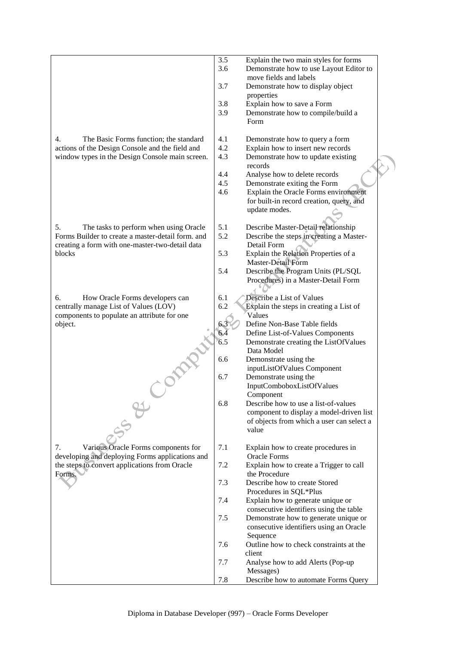|                                                                                                    | 3.5<br>3.6 | Explain the two main styles for forms<br>Demonstrate how to use Layout Editor to      |  |
|----------------------------------------------------------------------------------------------------|------------|---------------------------------------------------------------------------------------|--|
|                                                                                                    | 3.7        | move fields and labels<br>Demonstrate how to display object                           |  |
|                                                                                                    |            | properties                                                                            |  |
|                                                                                                    | 3.8        | Explain how to save a Form                                                            |  |
|                                                                                                    | 3.9        | Demonstrate how to compile/build a<br>Form                                            |  |
| 4.<br>The Basic Forms function; the standard                                                       | 4.1        | Demonstrate how to query a form                                                       |  |
| actions of the Design Console and the field and<br>window types in the Design Console main screen. | 4.2<br>4.3 | Explain how to insert new records<br>Demonstrate how to update existing               |  |
|                                                                                                    |            | records                                                                               |  |
|                                                                                                    | 4.4        | Analyse how to delete records                                                         |  |
|                                                                                                    | 4.5        | Demonstrate exiting the Form                                                          |  |
|                                                                                                    | 4.6        | Explain the Oracle Forms environment                                                  |  |
|                                                                                                    |            | for built-in record creation, query, and                                              |  |
|                                                                                                    |            | update modes.                                                                         |  |
| 5.<br>The tasks to perform when using Oracle                                                       | 5.1        | Describe Master-Detail relationship                                                   |  |
| Forms Builder to create a master-detail form. and                                                  | 5.2        | Describe the steps in creating a Master-                                              |  |
| creating a form with one-master-two-detail data                                                    |            | Detail Form                                                                           |  |
| blocks                                                                                             | 5.3        | Explain the Relation Properties of a<br>Master-Detail Form                            |  |
|                                                                                                    | 5.4        | Describe the Program Units (PL/SQL                                                    |  |
|                                                                                                    |            | Procedures) in a Master-Detail Form                                                   |  |
|                                                                                                    |            |                                                                                       |  |
| 6.<br>How Oracle Forms developers can                                                              | 6.1        | Describe a List of Values                                                             |  |
| centrally manage List of Values (LOV)<br>components to populate an attribute for one               | 6.2        | Explain the steps in creating a List of<br>Values                                     |  |
| object.                                                                                            | 6.3        | Define Non-Base Table fields                                                          |  |
|                                                                                                    | 6.4        | Define List-of-Values Components                                                      |  |
|                                                                                                    | 6.5        | Demonstrate creating the ListOfValues                                                 |  |
|                                                                                                    |            | Data Model                                                                            |  |
|                                                                                                    | 6.6        | Demonstrate using the<br>inputListOfValues Component                                  |  |
|                                                                                                    | 6.7        | Demonstrate using the                                                                 |  |
|                                                                                                    |            | InputComboboxListOfValues                                                             |  |
|                                                                                                    |            | Component                                                                             |  |
|                                                                                                    | 6.8        | Describe how to use a list-of-values                                                  |  |
|                                                                                                    |            | component to display a model-driven list<br>of objects from which a user can select a |  |
|                                                                                                    |            | value                                                                                 |  |
|                                                                                                    |            |                                                                                       |  |
| Various Oracle Forms components for<br>7.                                                          | 7.1        | Explain how to create procedures in                                                   |  |
| developing and deploying Forms applications and<br>the steps to convert applications from Oracle   | 7.2        | <b>Oracle Forms</b><br>Explain how to create a Trigger to call                        |  |
| Forms.                                                                                             |            | the Procedure                                                                         |  |
|                                                                                                    | 7.3        | Describe how to create Stored                                                         |  |
|                                                                                                    |            | Procedures in SQL*Plus                                                                |  |
|                                                                                                    | 7.4        | Explain how to generate unique or                                                     |  |
|                                                                                                    | 7.5        | consecutive identifiers using the table<br>Demonstrate how to generate unique or      |  |
|                                                                                                    |            | consecutive identifiers using an Oracle                                               |  |
|                                                                                                    |            | Sequence                                                                              |  |
|                                                                                                    | 7.6        | Outline how to check constraints at the                                               |  |
|                                                                                                    |            | client                                                                                |  |
|                                                                                                    | 7.7        | Analyse how to add Alerts (Pop-up<br>Messages)                                        |  |
|                                                                                                    | 7.8        | Describe how to automate Forms Query                                                  |  |